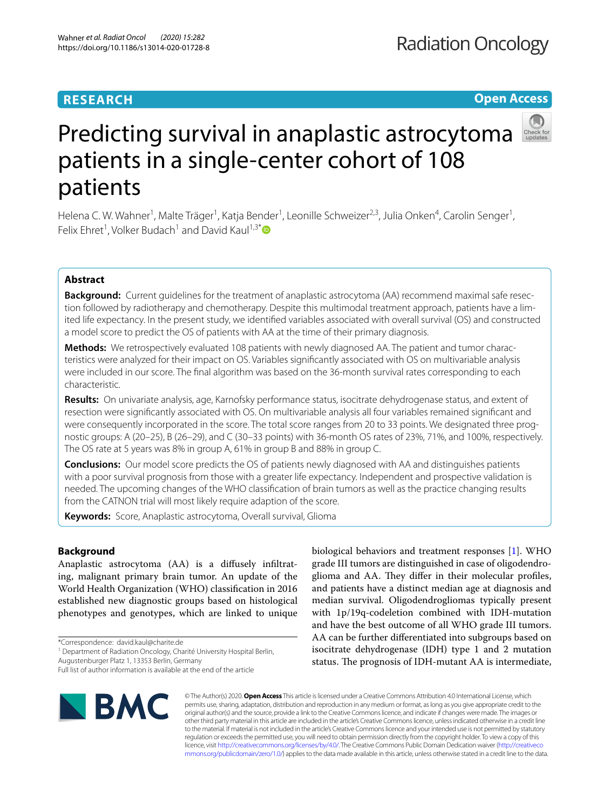# **RESEARCH**

# **Open Access**



# Predicting survival in anaplastic astrocytoma patients in a single-center cohort of 108 patients

Helena C. W. Wahner<sup>1</sup>, Malte Träger<sup>1</sup>, Katja Bender<sup>1</sup>, Leonille Schweizer<sup>2,3</sup>, Julia Onken<sup>4</sup>, Carolin Senger<sup>1</sup>, Felix Ehret<sup>1</sup>, Volker Budach<sup>1</sup> and David Kaul<sup>1,3[\\*](http://orcid.org/0000-0002-7906-5629)</sup>

# **Abstract**

**Background:** Current guidelines for the treatment of anaplastic astrocytoma (AA) recommend maximal safe resection followed by radiotherapy and chemotherapy. Despite this multimodal treatment approach, patients have a limited life expectancy. In the present study, we identifed variables associated with overall survival (OS) and constructed a model score to predict the OS of patients with AA at the time of their primary diagnosis.

**Methods:** We retrospectively evaluated 108 patients with newly diagnosed AA. The patient and tumor characteristics were analyzed for their impact on OS. Variables signifcantly associated with OS on multivariable analysis were included in our score. The fnal algorithm was based on the 36-month survival rates corresponding to each characteristic.

**Results:** On univariate analysis, age, Karnofsky performance status, isocitrate dehydrogenase status, and extent of resection were signifcantly associated with OS. On multivariable analysis all four variables remained signifcant and were consequently incorporated in the score. The total score ranges from 20 to 33 points. We designated three prognostic groups: A (20–25), B (26–29), and C (30–33 points) with 36-month OS rates of 23%, 71%, and 100%, respectively. The OS rate at 5 years was 8% in group A, 61% in group B and 88% in group C.

**Conclusions:** Our model score predicts the OS of patients newly diagnosed with AA and distinguishes patients with a poor survival prognosis from those with a greater life expectancy. Independent and prospective validation is needed. The upcoming changes of the WHO classifcation of brain tumors as well as the practice changing results from the CATNON trial will most likely require adaption of the score.

**Keywords:** Score, Anaplastic astrocytoma, Overall survival, Glioma

# **Background**

Anaplastic astrocytoma (AA) is a difusely infltrating, malignant primary brain tumor. An update of the World Health Organization (WHO) classifcation in 2016 established new diagnostic groups based on histological phenotypes and genotypes, which are linked to unique

<sup>1</sup> Department of Radiation Oncology, Charité University Hospital Berlin,

Augustenburger Platz 1, 13353 Berlin, Germany

biological behaviors and treatment responses [[1](#page-7-0)]. WHO grade III tumors are distinguished in case of oligodendroglioma and AA. They differ in their molecular profiles, and patients have a distinct median age at diagnosis and median survival. Oligodendrogliomas typically present with 1p/19q-codeletion combined with IDH-mutation and have the best outcome of all WHO grade III tumors. AA can be further diferentiated into subgroups based on isocitrate dehydrogenase (IDH) type 1 and 2 mutation status. The prognosis of IDH-mutant AA is intermediate,



© The Author(s) 2020. **Open Access** This article is licensed under a Creative Commons Attribution 4.0 International License, which permits use, sharing, adaptation, distribution and reproduction in any medium or format, as long as you give appropriate credit to the original author(s) and the source, provide a link to the Creative Commons licence, and indicate if changes were made. The images or other third party material in this article are included in the article's Creative Commons licence, unless indicated otherwise in a credit line to the material. If material is not included in the article's Creative Commons licence and your intended use is not permitted by statutory regulation or exceeds the permitted use, you will need to obtain permission directly from the copyright holder. To view a copy of this licence, visit [http://creativecommons.org/licenses/by/4.0/.](http://creativecommons.org/licenses/by/4.0/) The Creative Commons Public Domain Dedication waiver ([http://creativeco](http://creativecommons.org/publicdomain/zero/1.0/) [mmons.org/publicdomain/zero/1.0/](http://creativecommons.org/publicdomain/zero/1.0/)) applies to the data made available in this article, unless otherwise stated in a credit line to the data.

<sup>\*</sup>Correspondence: david.kaul@charite.de

Full list of author information is available at the end of the article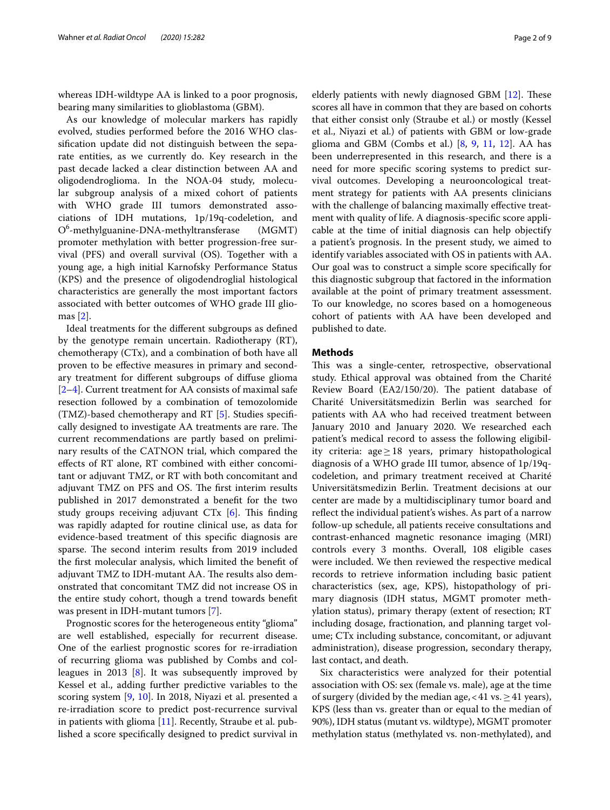whereas IDH-wildtype AA is linked to a poor prognosis, bearing many similarities to glioblastoma (GBM).

As our knowledge of molecular markers has rapidly evolved, studies performed before the 2016 WHO classifcation update did not distinguish between the separate entities, as we currently do. Key research in the past decade lacked a clear distinction between AA and oligodendroglioma. In the NOA-04 study, molecular subgroup analysis of a mixed cohort of patients with WHO grade III tumors demonstrated associations of IDH mutations, 1p/19q-codeletion, and O6 -methylguanine-DNA-methyltransferase (MGMT) promoter methylation with better progression-free survival (PFS) and overall survival (OS). Together with a young age, a high initial Karnofsky Performance Status (KPS) and the presence of oligodendroglial histological characteristics are generally the most important factors associated with better outcomes of WHO grade III gliomas [[2\]](#page-7-1).

Ideal treatments for the diferent subgroups as defned by the genotype remain uncertain. Radiotherapy (RT), chemotherapy (CTx), and a combination of both have all proven to be efective measures in primary and secondary treatment for diferent subgroups of difuse glioma [[2–](#page-7-1)[4\]](#page-7-2). Current treatment for AA consists of maximal safe resection followed by a combination of temozolomide (TMZ)-based chemotherapy and RT [\[5](#page-7-3)]. Studies specifcally designed to investigate AA treatments are rare. The current recommendations are partly based on preliminary results of the CATNON trial, which compared the efects of RT alone, RT combined with either concomitant or adjuvant TMZ, or RT with both concomitant and adjuvant TMZ on PFS and OS. The first interim results published in 2017 demonstrated a beneft for the two study groups receiving adjuvant  $CTx$  [\[6](#page-7-4)]. This finding was rapidly adapted for routine clinical use, as data for evidence-based treatment of this specifc diagnosis are sparse. The second interim results from 2019 included the frst molecular analysis, which limited the beneft of adjuvant TMZ to IDH-mutant AA. The results also demonstrated that concomitant TMZ did not increase OS in the entire study cohort, though a trend towards beneft was present in IDH-mutant tumors [\[7](#page-7-5)].

Prognostic scores for the heterogeneous entity "glioma" are well established, especially for recurrent disease. One of the earliest prognostic scores for re-irradiation of recurring glioma was published by Combs and colleagues in 2013 [\[8\]](#page-7-6). It was subsequently improved by Kessel et al., adding further predictive variables to the scoring system [\[9](#page-7-7), [10](#page-7-8)]. In 2018, Niyazi et al. presented a re-irradiation score to predict post-recurrence survival in patients with glioma [\[11](#page-7-9)]. Recently, Straube et al. published a score specifcally designed to predict survival in elderly patients with newly diagnosed GBM  $[12]$  $[12]$ . These scores all have in common that they are based on cohorts that either consist only (Straube et al.) or mostly (Kessel et al., Niyazi et al.) of patients with GBM or low-grade glioma and GBM (Combs et al.)  $[8, 9, 11, 12]$  $[8, 9, 11, 12]$  $[8, 9, 11, 12]$  $[8, 9, 11, 12]$  $[8, 9, 11, 12]$  $[8, 9, 11, 12]$  $[8, 9, 11, 12]$  $[8, 9, 11, 12]$ . AA has been underrepresented in this research, and there is a need for more specifc scoring systems to predict survival outcomes. Developing a neurooncological treatment strategy for patients with AA presents clinicians with the challenge of balancing maximally effective treatment with quality of life. A diagnosis-specifc score applicable at the time of initial diagnosis can help objectify a patient's prognosis. In the present study, we aimed to identify variables associated with OS in patients with AA. Our goal was to construct a simple score specifcally for this diagnostic subgroup that factored in the information available at the point of primary treatment assessment. To our knowledge, no scores based on a homogeneous cohort of patients with AA have been developed and published to date.

## **Methods**

This was a single-center, retrospective, observational study. Ethical approval was obtained from the Charité Review Board (EA2/150/20). The patient database of Charité Universitätsmedizin Berlin was searched for patients with AA who had received treatment between January 2010 and January 2020. We researched each patient's medical record to assess the following eligibility criteria: age≥18 years, primary histopathological diagnosis of a WHO grade III tumor, absence of 1p/19qcodeletion, and primary treatment received at Charité Universitätsmedizin Berlin. Treatment decisions at our center are made by a multidisciplinary tumor board and refect the individual patient's wishes. As part of a narrow follow-up schedule, all patients receive consultations and contrast-enhanced magnetic resonance imaging (MRI) controls every 3 months. Overall, 108 eligible cases were included. We then reviewed the respective medical records to retrieve information including basic patient characteristics (sex, age, KPS), histopathology of primary diagnosis (IDH status, MGMT promoter methylation status), primary therapy (extent of resection; RT including dosage, fractionation, and planning target volume; CTx including substance, concomitant, or adjuvant administration), disease progression, secondary therapy, last contact, and death.

Six characteristics were analyzed for their potential association with OS: sex (female vs. male), age at the time of surgery (divided by the median age, < 41 vs.  $\geq$  41 years), KPS (less than vs. greater than or equal to the median of 90%), IDH status (mutant vs. wildtype), MGMT promoter methylation status (methylated vs. non-methylated), and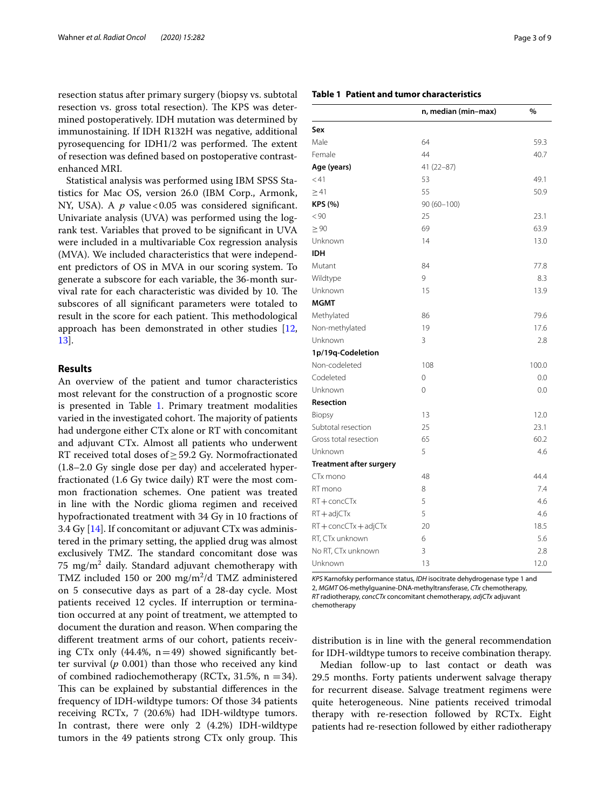resection status after primary surgery (biopsy vs. subtotal resection vs. gross total resection). The KPS was determined postoperatively. IDH mutation was determined by immunostaining. If IDH R132H was negative, additional pyrosequencing for IDH1/2 was performed. The extent of resection was defned based on postoperative contrastenhanced MRI.

Statistical analysis was performed using IBM SPSS Statistics for Mac OS, version 26.0 (IBM Corp., Armonk, NY, USA). A *p* value<0.05 was considered significant. Univariate analysis (UVA) was performed using the logrank test. Variables that proved to be signifcant in UVA were included in a multivariable Cox regression analysis (MVA). We included characteristics that were independent predictors of OS in MVA in our scoring system. To generate a subscore for each variable, the 36-month survival rate for each characteristic was divided by 10. The subscores of all signifcant parameters were totaled to result in the score for each patient. This methodological approach has been demonstrated in other studies [\[12](#page-7-10), [13\]](#page-7-11).

# **Results**

An overview of the patient and tumor characteristics most relevant for the construction of a prognostic score is presented in Table [1.](#page-2-0) Primary treatment modalities varied in the investigated cohort. The majority of patients had undergone either CTx alone or RT with concomitant and adjuvant CTx. Almost all patients who underwent RT received total doses of  $\geq$  59.2 Gy. Normofractionated (1.8–2.0 Gy single dose per day) and accelerated hyperfractionated (1.6 Gy twice daily) RT were the most common fractionation schemes. One patient was treated in line with the Nordic glioma regimen and received hypofractionated treatment with 34 Gy in 10 fractions of 3.4 Gy [\[14](#page-7-12)]. If concomitant or adjuvant CTx was administered in the primary setting, the applied drug was almost exclusively TMZ. The standard concomitant dose was 75  $\mathrm{mg/m^2}$  daily. Standard adjuvant chemotherapy with TMZ included 150 or 200 mg/m<sup>2</sup>/d TMZ administered on 5 consecutive days as part of a 28-day cycle. Most patients received 12 cycles. If interruption or termination occurred at any point of treatment, we attempted to document the duration and reason. When comparing the diferent treatment arms of our cohort, patients receiving CTx only  $(44.4\%, n=49)$  showed significantly better survival (*p* 0.001) than those who received any kind of combined radiochemotherapy (RCTx, 31.5%,  $n = 34$ ). This can be explained by substantial differences in the frequency of IDH-wildtype tumors: Of those 34 patients receiving RCTx, 7 (20.6%) had IDH-wildtype tumors. In contrast, there were only 2 (4.2%) IDH-wildtype tumors in the 49 patients strong CTx only group. This

## <span id="page-2-0"></span>**Table 1 Patient and tumor characteristics**

|                                | n, median (min–max) | %     |
|--------------------------------|---------------------|-------|
| Sex                            |                     |       |
| Male                           | 64                  | 59.3  |
| Female                         | 44                  | 40.7  |
| Age (years)                    | $41(22 - 87)$       |       |
| < 41                           | 53                  | 49.1  |
| $\geq 41$                      | 55                  | 50.9  |
| <b>KPS (%)</b>                 | $90(60 - 100)$      |       |
| < 90                           | 25                  | 23.1  |
| $\geq 90$                      | 69                  | 63.9  |
| Unknown                        | 14                  | 13.0  |
| <b>IDH</b>                     |                     |       |
| Mutant                         | 84                  | 77.8  |
| Wildtype                       | 9                   | 8.3   |
| Unknown                        | 15                  | 13.9  |
| <b>MGMT</b>                    |                     |       |
| Methylated                     | 86                  | 79.6  |
| Non-methylated                 | 19                  | 17.6  |
| Unknown                        | 3                   | 2.8   |
| 1p/19q-Codeletion              |                     |       |
| Non-codeleted                  | 108                 | 100.0 |
| Codeleted                      | 0                   | 0.0   |
| Unknown                        | $\mathbf 0$         | 0.0   |
| Resection                      |                     |       |
| Biopsy                         | 13                  | 12.0  |
| Subtotal resection             | 25                  | 23.1  |
| Gross total resection          | 65                  | 60.2  |
| Unknown                        | 5                   | 4.6   |
| <b>Treatment after surgery</b> |                     |       |
| CTx mono                       | 48                  | 44.4  |
| RT mono                        | 8                   | 7.4   |
| RT + concCTx                   | 5                   | 4.6   |
| $RT + adjCTx$                  | 5                   | 4.6   |
| RT + concCTx + adjCTx          | 20                  | 18.5  |
| RT, CTx unknown                | 6                   | 5.6   |
| No RT, CTx unknown             | 3                   | 2.8   |
| Unknown                        | 13                  | 12.0  |

*KPS* Karnofsky performance status, *IDH* isocitrate dehydrogenase type 1 and 2, *MGMT* O6-methylguanine-DNA-methyltransferase, *CTx* chemotherapy, *RT* radiotherapy, *concCTx* concomitant chemotherapy, *adjCTx* adjuvant chemotherapy

distribution is in line with the general recommendation for IDH-wildtype tumors to receive combination therapy.

Median follow-up to last contact or death was 29.5 months. Forty patients underwent salvage therapy for recurrent disease. Salvage treatment regimens were quite heterogeneous. Nine patients received trimodal therapy with re-resection followed by RCTx. Eight patients had re-resection followed by either radiotherapy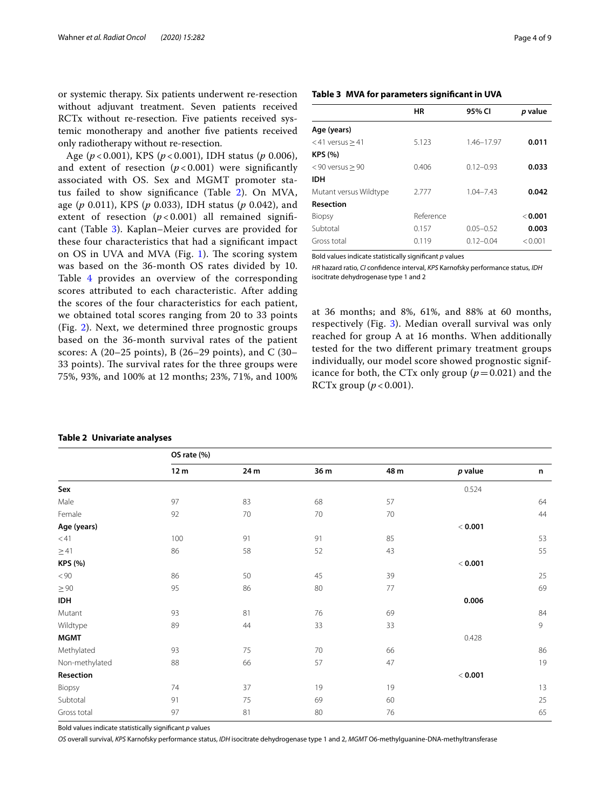or systemic therapy. Six patients underwent re-resection without adjuvant treatment. Seven patients received RCTx without re-resection. Five patients received systemic monotherapy and another fve patients received only radiotherapy without re-resection.

Age (*p* < 0.001), KPS (*p* < 0.001), IDH status (*p* 0.006), and extent of resection  $(p < 0.001)$  were significantly associated with OS. Sex and MGMT promoter status failed to show signifcance (Table [2\)](#page-3-0). On MVA, age (*p* 0.011), KPS (*p* 0.033), IDH status (*p* 0.042), and extent of resection  $(p < 0.001)$  all remained significant (Table [3](#page-3-1)). Kaplan–Meier curves are provided for these four characteristics that had a signifcant impact on OS in UVA and MVA (Fig. [1](#page-4-0)). The scoring system was based on the 36-month OS rates divided by 10. Table [4](#page-4-1) provides an overview of the corresponding scores attributed to each characteristic. After adding the scores of the four characteristics for each patient, we obtained total scores ranging from 20 to 33 points (Fig. [2](#page-5-0)). Next, we determined three prognostic groups based on the 36-month survival rates of the patient scores: A (20–25 points), B (26–29 points), and C (30– 33 points). The survival rates for the three groups were 75%, 93%, and 100% at 12 months; 23%, 71%, and 100%

## <span id="page-3-1"></span>**Table 3 MVA for parameters signifcant in UVA**

|                        | ΗR        | 95% CI        | p value |
|------------------------|-----------|---------------|---------|
| Age (years)            |           |               |         |
| $<$ 41 versus $>$ 41   | 5.123     | 1.46-17.97    | 0.011   |
| <b>KPS (%)</b>         |           |               |         |
| $< 90$ versus $> 90$   | 0.406     | $0.12 - 0.93$ | 0.033   |
| <b>IDH</b>             |           |               |         |
| Mutant versus Wildtype | 2.777     | $1.04 - 7.43$ | 0.042   |
| <b>Resection</b>       |           |               |         |
| <b>Biopsy</b>          | Reference |               | < 0.001 |
| Subtotal               | 0.157     | $0.05 - 0.52$ | 0.003   |
| Gross total            | 0.119     | $0.12 - 0.04$ | < 0.001 |

Bold values indicate statistically signifcant *p* values

*HR* hazard ratio, *CI* confdence interval, *KPS* Karnofsky performance status, *IDH* isocitrate dehydrogenase type 1 and 2

at 36 months; and 8%, 61%, and 88% at 60 months, respectively (Fig. [3](#page-5-1)). Median overall survival was only reached for group A at 16 months. When additionally tested for the two diferent primary treatment groups individually, our model score showed prognostic significance for both, the CTx only group  $(p=0.021)$  and the RCTx group  $(p < 0.001)$ .

|                | OS rate (%)     |      |      |      |                |    |
|----------------|-----------------|------|------|------|----------------|----|
|                | 12 <sub>m</sub> | 24 m | 36 m | 48 m | p value        | n  |
| Sex            |                 |      |      |      | 0.524          |    |
| Male           | 97              | 83   | 68   | 57   |                | 64 |
| Female         | 92              | 70   | 70   | 70   |                | 44 |
| Age (years)    |                 |      |      |      | < 0.001        |    |
| $<$ 41         | 100             | 91   | 91   | 85   |                | 53 |
| $\geq$ 41      | 86              | 58   | 52   | 43   |                | 55 |
| KPS (%)        |                 |      |      |      | $<$ 0.001 $\,$ |    |
| < 90           | 86              | 50   | 45   | 39   |                | 25 |
| $\geq 90$      | 95              | 86   | 80   | 77   |                | 69 |
| <b>IDH</b>     |                 |      |      |      | 0.006          |    |
| Mutant         | 93              | 81   | 76   | 69   |                | 84 |
| Wildtype       | 89              | 44   | 33   | 33   |                | 9  |
| <b>MGMT</b>    |                 |      |      |      | 0.428          |    |
| Methylated     | 93              | 75   | 70   | 66   |                | 86 |
| Non-methylated | 88              | 66   | 57   | 47   |                | 19 |
| Resection      |                 |      |      |      | < 0.001        |    |
| Biopsy         | 74              | 37   | 19   | 19   |                | 13 |
| Subtotal       | 91              | 75   | 69   | 60   |                | 25 |
| Gross total    | 97              | 81   | 80   | 76   |                | 65 |

#### <span id="page-3-0"></span>**Table 2 Univariate analyses**

Bold values indicate statistically signifcant *p* values

*OS* overall survival, *KPS* Karnofsky performance status, *IDH* isocitrate dehydrogenase type 1 and 2, *MGMT* O6-methylguanine-DNA-methyltransferase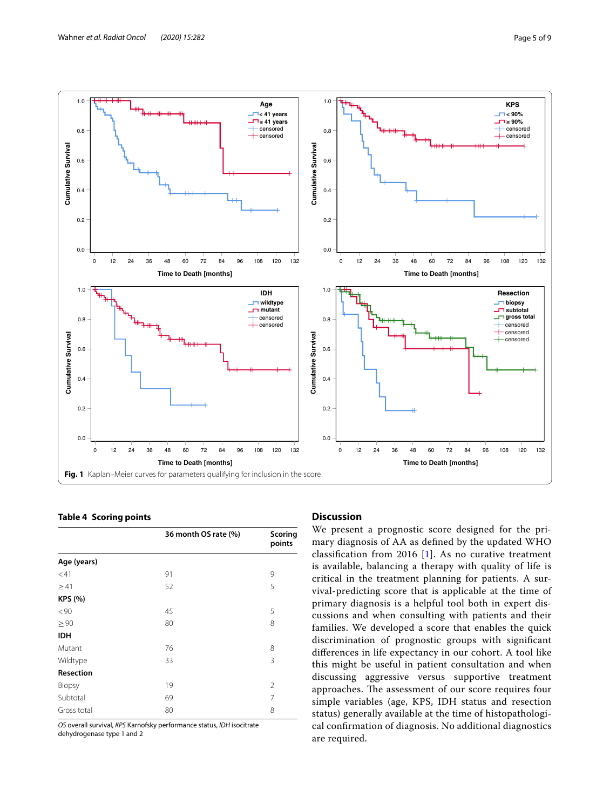**Cumulative Survival**

**Cumulative Survival** 

1.0

0.8

0.6

0.4

0.2

 $0.0$ 





# <span id="page-4-1"></span><span id="page-4-0"></span>**Table 4 Scoring points**

|                  | 36 month OS rate (%) | Scoring<br>points |
|------------------|----------------------|-------------------|
| Age (years)      |                      |                   |
| < 41             | 91                   | 9                 |
| $\geq 41$        | 52                   | 5                 |
| <b>KPS (%)</b>   |                      |                   |
| < 90             | 45                   | 5                 |
| $\geq 90$        | 80                   | 8                 |
| <b>IDH</b>       |                      |                   |
| Mutant           | 76                   | 8                 |
| Wildtype         | 33                   | 3                 |
| <b>Resection</b> |                      |                   |
| Biopsy           | 19                   | $\overline{2}$    |
| Subtotal         | 69                   | 7                 |
| Gross total      | 80                   | 8                 |

*OS* overall survival, *KPS* Karnofsky performance status, *IDH* isocitrate dehydrogenase type 1 and 2

# **Discussion**

We present a prognostic score designed for the primary diagnosis of AA as defned by the updated WHO classifcation from 2016 [[1\]](#page-7-0). As no curative treatment is available, balancing a therapy with quality of life is critical in the treatment planning for patients. A survival-predicting score that is applicable at the time of primary diagnosis is a helpful tool both in expert discussions and when consulting with patients and their families. We developed a score that enables the quick discrimination of prognostic groups with signifcant diferences in life expectancy in our cohort. A tool like this might be useful in patient consultation and when discussing aggressive versus supportive treatment approaches. The assessment of our score requires four simple variables (age, KPS, IDH status and resection status) generally available at the time of histopathological confrmation of diagnosis. No additional diagnostics are required.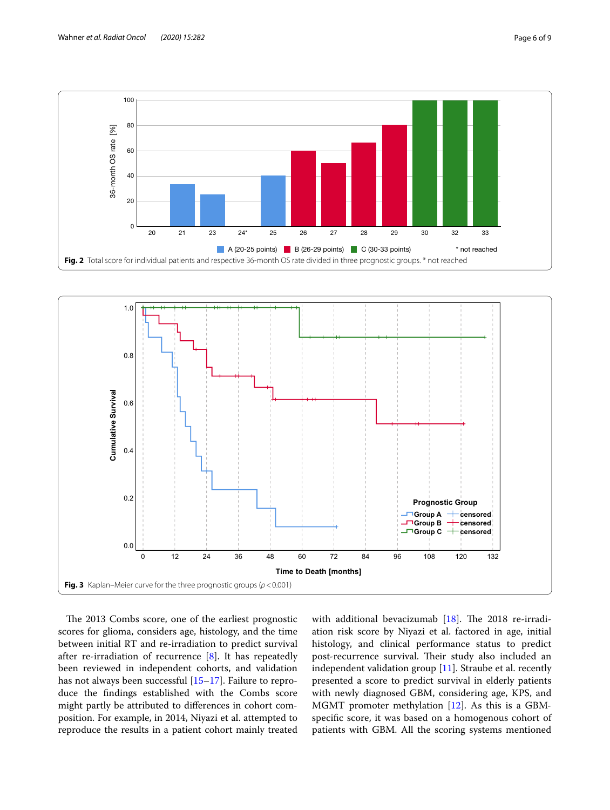

<span id="page-5-0"></span>

<span id="page-5-1"></span>The 2013 Combs score, one of the earliest prognostic scores for glioma, considers age, histology, and the time between initial RT and re-irradiation to predict survival after re-irradiation of recurrence [\[8](#page-7-6)]. It has repeatedly been reviewed in independent cohorts, and validation has not always been successful [[15–](#page-7-13)[17](#page-8-0)]. Failure to reproduce the fndings established with the Combs score might partly be attributed to diferences in cohort composition. For example, in 2014, Niyazi et al. attempted to reproduce the results in a patient cohort mainly treated with additional bevacizumab  $[18]$  $[18]$ . The 2018 re-irradiation risk score by Niyazi et al. factored in age, initial histology, and clinical performance status to predict post-recurrence survival. Their study also included an independent validation group  $[11]$  $[11]$ . Straube et al. recently presented a score to predict survival in elderly patients with newly diagnosed GBM, considering age, KPS, and MGMT promoter methylation [\[12](#page-7-10)]. As this is a GBMspecifc score, it was based on a homogenous cohort of patients with GBM. All the scoring systems mentioned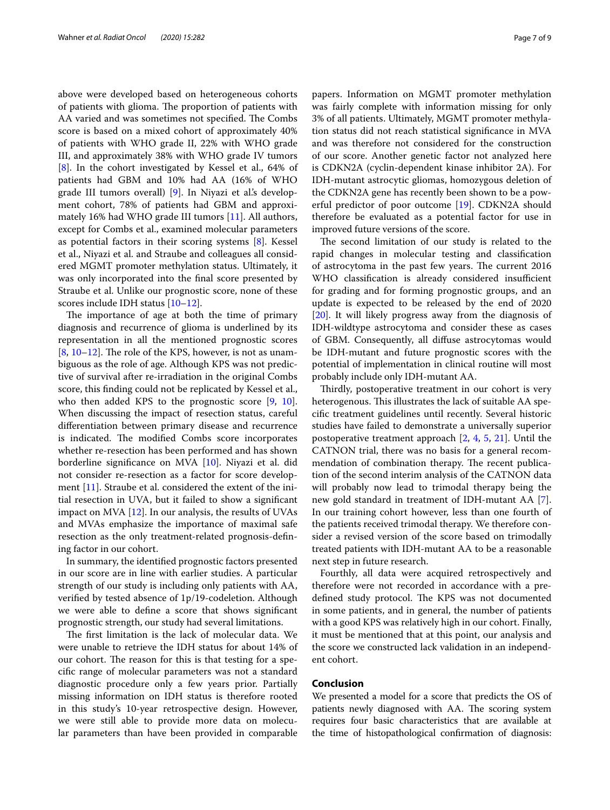above were developed based on heterogeneous cohorts of patients with glioma. The proportion of patients with AA varied and was sometimes not specified. The Combs score is based on a mixed cohort of approximately 40% of patients with WHO grade II, 22% with WHO grade III, and approximately 38% with WHO grade IV tumors [[8\]](#page-7-6). In the cohort investigated by Kessel et al., 64% of patients had GBM and 10% had AA (16% of WHO grade III tumors overall) [[9\]](#page-7-7). In Niyazi et al.'s development cohort, 78% of patients had GBM and approximately 16% had WHO grade III tumors [[11](#page-7-9)]. All authors, except for Combs et al., examined molecular parameters as potential factors in their scoring systems  $[8]$  $[8]$ . Kessel et al., Niyazi et al. and Straube and colleagues all considered MGMT promoter methylation status. Ultimately, it was only incorporated into the fnal score presented by Straube et al. Unlike our prognostic score, none of these scores include IDH status [[10](#page-7-8)[–12](#page-7-10)].

The importance of age at both the time of primary diagnosis and recurrence of glioma is underlined by its representation in all the mentioned prognostic scores  $[8, 10-12]$  $[8, 10-12]$  $[8, 10-12]$  $[8, 10-12]$  $[8, 10-12]$ . The role of the KPS, however, is not as unambiguous as the role of age. Although KPS was not predictive of survival after re-irradiation in the original Combs score, this fnding could not be replicated by Kessel et al., who then added KPS to the prognostic score [\[9](#page-7-7), [10](#page-7-8)]. When discussing the impact of resection status, careful diferentiation between primary disease and recurrence is indicated. The modified Combs score incorporates whether re-resection has been performed and has shown borderline signifcance on MVA [[10\]](#page-7-8). Niyazi et al. did not consider re-resection as a factor for score development [[11\]](#page-7-9). Straube et al. considered the extent of the initial resection in UVA, but it failed to show a signifcant impact on MVA [\[12](#page-7-10)]. In our analysis, the results of UVAs and MVAs emphasize the importance of maximal safe resection as the only treatment-related prognosis-defning factor in our cohort.

In summary, the identifed prognostic factors presented in our score are in line with earlier studies. A particular strength of our study is including only patients with AA, verifed by tested absence of 1p/19-codeletion. Although we were able to defne a score that shows signifcant prognostic strength, our study had several limitations.

The first limitation is the lack of molecular data. We were unable to retrieve the IDH status for about 14% of our cohort. The reason for this is that testing for a specifc range of molecular parameters was not a standard diagnostic procedure only a few years prior. Partially missing information on IDH status is therefore rooted in this study's 10-year retrospective design. However, we were still able to provide more data on molecular parameters than have been provided in comparable papers. Information on MGMT promoter methylation was fairly complete with information missing for only 3% of all patients. Ultimately, MGMT promoter methylation status did not reach statistical signifcance in MVA and was therefore not considered for the construction of our score. Another genetic factor not analyzed here is CDKN2A (cyclin-dependent kinase inhibitor 2A). For IDH-mutant astrocytic gliomas, homozygous deletion of the CDKN2A gene has recently been shown to be a powerful predictor of poor outcome [[19\]](#page-8-2). CDKN2A should therefore be evaluated as a potential factor for use in improved future versions of the score.

The second limitation of our study is related to the rapid changes in molecular testing and classifcation of astrocytoma in the past few years. The current 2016 WHO classification is already considered insufficient for grading and for forming prognostic groups, and an update is expected to be released by the end of 2020 [[20\]](#page-8-3). It will likely progress away from the diagnosis of IDH-wildtype astrocytoma and consider these as cases of GBM. Consequently, all difuse astrocytomas would be IDH-mutant and future prognostic scores with the potential of implementation in clinical routine will most probably include only IDH-mutant AA.

Thirdly, postoperative treatment in our cohort is very heterogenous. This illustrates the lack of suitable AA specifc treatment guidelines until recently. Several historic studies have failed to demonstrate a universally superior postoperative treatment approach [[2,](#page-7-1) [4](#page-7-2), [5](#page-7-3), [21\]](#page-8-4). Until the CATNON trial, there was no basis for a general recommendation of combination therapy. The recent publication of the second interim analysis of the CATNON data will probably now lead to trimodal therapy being the new gold standard in treatment of IDH-mutant AA [\[7](#page-7-5)]. In our training cohort however, less than one fourth of the patients received trimodal therapy. We therefore consider a revised version of the score based on trimodally treated patients with IDH-mutant AA to be a reasonable next step in future research.

Fourthly, all data were acquired retrospectively and therefore were not recorded in accordance with a predefined study protocol. The KPS was not documented in some patients, and in general, the number of patients with a good KPS was relatively high in our cohort. Finally, it must be mentioned that at this point, our analysis and the score we constructed lack validation in an independent cohort.

# **Conclusion**

We presented a model for a score that predicts the OS of patients newly diagnosed with AA. The scoring system requires four basic characteristics that are available at the time of histopathological confrmation of diagnosis: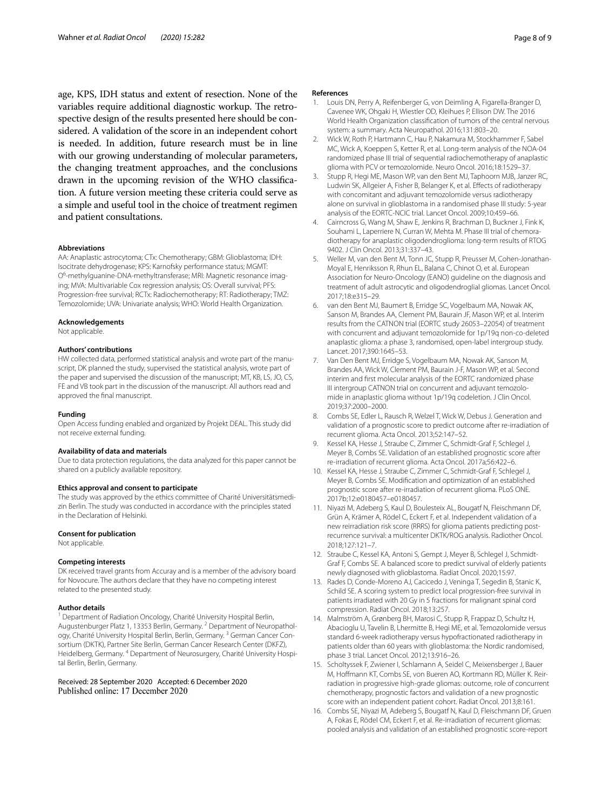age, KPS, IDH status and extent of resection. None of the variables require additional diagnostic workup. The retrospective design of the results presented here should be considered. A validation of the score in an independent cohort is needed. In addition, future research must be in line with our growing understanding of molecular parameters, the changing treatment approaches, and the conclusions drawn in the upcoming revision of the WHO classifcation. A future version meeting these criteria could serve as a simple and useful tool in the choice of treatment regimen and patient consultations.

#### **Abbreviations**

AA: Anaplastic astrocytoma; CTx: Chemotherapy; GBM: Glioblastoma; IDH: Isocitrate dehydrogenase; KPS: Karnofsky performance status; MGMT: O<sup>6</sup>-methylguanine-DNA-methyltransferase; MRI: Magnetic resonance imaging; MVA: Multivariable Cox regression analysis; OS: Overall survival; PFS: Progression-free survival; RCTx: Radiochemotherapy; RT: Radiotherapy; TMZ: Temozolomide; UVA: Univariate analysis; WHO: World Health Organization.

#### **Acknowledgements**

Not applicable.

#### **Authors' contributions**

HW collected data, performed statistical analysis and wrote part of the manuscript, DK planned the study, supervised the statistical analysis, wrote part of the paper and supervised the discussion of the manuscript; MT, KB, LS, JO, CS, FE and VB took part in the discussion of the manuscript. All authors read and approved the fnal manuscript.

#### **Funding**

Open Access funding enabled and organized by Projekt DEAL. This study did not receive external funding.

## **Availability of data and materials**

Due to data protection regulations, the data analyzed for this paper cannot be shared on a publicly available repository.

#### **Ethics approval and consent to participate**

The study was approved by the ethics committee of Charité Universitätsmedizin Berlin. The study was conducted in accordance with the principles stated in the Declaration of Helsinki.

#### **Consent for publication**

Not applicable.

#### **Competing interests**

DK received travel grants from Accuray and is a member of the advisory board for Novocure. The authors declare that they have no competing interest related to the presented study.

# **Author details**

<sup>1</sup> Department of Radiation Oncology, Charité University Hospital Berlin, Augustenburger Platz 1, 13353 Berlin, Germany. <sup>2</sup> Department of Neuropathology, Charité University Hospital Berlin, Berlin, Germany.<sup>3</sup> German Cancer Consortium (DKTK), Partner Site Berlin, German Cancer Research Center (DKFZ), Heidelberg, Germany. 4 Department of Neurosurgery, Charité University Hospital Berlin, Berlin, Germany.

Received: 28 September 2020 Accepted: 6 December 2020

#### **References**

- <span id="page-7-0"></span>1. Louis DN, Perry A, Reifenberger G, von Deimling A, Figarella-Branger D, Cavenee WK, Ohgaki H, Wiestler OD, Kleihues P, Ellison DW. The 2016 World Health Organization classifcation of tumors of the central nervous system: a summary. Acta Neuropathol. 2016;131:803–20.
- <span id="page-7-1"></span>2. Wick W, Roth P, Hartmann C, Hau P, Nakamura M, Stockhammer F, Sabel MC, Wick A, Koeppen S, Ketter R, et al. Long-term analysis of the NOA-04 randomized phase III trial of sequential radiochemotherapy of anaplastic glioma with PCV or temozolomide. Neuro Oncol. 2016;18:1529–37.
- 3. Stupp R, Hegi ME, Mason WP, van den Bent MJ, Taphoorn MJB, Janzer RC, Ludwin SK, Allgeier A, Fisher B, Belanger K, et al. Efects of radiotherapy with concomitant and adjuvant temozolomide versus radiotherapy alone on survival in glioblastoma in a randomised phase III study: 5-year analysis of the EORTC-NCIC trial. Lancet Oncol. 2009;10:459–66.
- <span id="page-7-2"></span>4. Cairncross G, Wang M, Shaw E, Jenkins R, Brachman D, Buckner J, Fink K, Souhami L, Laperriere N, Curran W, Mehta M. Phase III trial of chemoradiotherapy for anaplastic oligodendroglioma: long-term results of RTOG 9402. J Clin Oncol. 2013;31:337–43.
- <span id="page-7-3"></span>5. Weller M, van den Bent M, Tonn JC, Stupp R, Preusser M, Cohen-Jonathan-Moyal E, Henriksson R, Rhun EL, Balana C, Chinot O, et al. European Association for Neuro-Oncology (EANO) guideline on the diagnosis and treatment of adult astrocytic and oligodendroglial gliomas. Lancet Oncol. 2017;18:e315–29.
- <span id="page-7-4"></span>6. van den Bent MJ, Baumert B, Erridge SC, Vogelbaum MA, Nowak AK, Sanson M, Brandes AA, Clement PM, Baurain JF, Mason WP, et al. Interim results from the CATNON trial (EORTC study 26053–22054) of treatment with concurrent and adjuvant temozolomide for 1p/19q non-co-deleted anaplastic glioma: a phase 3, randomised, open-label intergroup study. Lancet. 2017;390:1645–53.
- <span id="page-7-5"></span>7. Van Den Bent MJ, Erridge S, Vogelbaum MA, Nowak AK, Sanson M, Brandes AA, Wick W, Clement PM, Baurain J-F, Mason WP, et al. Second interim and frst molecular analysis of the EORTC randomized phase III intergroup CATNON trial on concurrent and adjuvant temozolomide in anaplastic glioma without 1p/19q codeletion. J Clin Oncol. 2019;37:2000–2000.
- <span id="page-7-6"></span>8. Combs SE, Edler L, Rausch R, Welzel T, Wick W, Debus J. Generation and validation of a prognostic score to predict outcome after re-irradiation of recurrent glioma. Acta Oncol. 2013;52:147–52.
- <span id="page-7-7"></span>9. Kessel KA, Hesse J, Straube C, Zimmer C, Schmidt-Graf F, Schlegel J, Meyer B, Combs SE. Validation of an established prognostic score after re-irradiation of recurrent glioma. Acta Oncol. 2017a;56:422–6.
- <span id="page-7-8"></span>10. Kessel KA, Hesse J, Straube C, Zimmer C, Schmidt-Graf F, Schlegel J, Meyer B, Combs SE. Modifcation and optimization of an established prognostic score after re-irradiation of recurrent glioma. PLoS ONE. 2017b;12:e0180457–e0180457.
- <span id="page-7-9"></span>11. Niyazi M, Adeberg S, Kaul D, Boulesteix AL, Bougatf N, Fleischmann DF, Grün A, Krämer A, Rödel C, Eckert F, et al. Independent validation of a new reirradiation risk score (RRRS) for glioma patients predicting postrecurrence survival: a multicenter DKTK/ROG analysis. Radiother Oncol. 2018;127:121–7.
- <span id="page-7-10"></span>12. Straube C, Kessel KA, Antoni S, Gempt J, Meyer B, Schlegel J, Schmidt-Graf F, Combs SE. A balanced score to predict survival of elderly patients newly diagnosed with glioblastoma. Radiat Oncol. 2020;15:97.
- <span id="page-7-11"></span>13. Rades D, Conde-Moreno AJ, Cacicedo J, Veninga T, Segedin B, Stanic K, Schild SE. A scoring system to predict local progression-free survival in patients irradiated with 20 Gy in 5 fractions for malignant spinal cord compression. Radiat Oncol. 2018;13:257.
- <span id="page-7-12"></span>14. Malmström A, Grønberg BH, Marosi C, Stupp R, Frappaz D, Schultz H, Abacioglu U, Tavelin B, Lhermitte B, Hegi ME, et al. Temozolomide versus standard 6-week radiotherapy versus hypofractionated radiotherapy in patients older than 60 years with glioblastoma: the Nordic randomised, phase 3 trial. Lancet Oncol. 2012;13:916–26.
- <span id="page-7-13"></span>15. Scholtyssek F, Zwiener I, Schlamann A, Seidel C, Meixensberger J, Bauer M, Hofmann KT, Combs SE, von Bueren AO, Kortmann RD, Müller K. Reirradiation in progressive high-grade gliomas: outcome, role of concurrent chemotherapy, prognostic factors and validation of a new prognostic score with an independent patient cohort. Radiat Oncol. 2013;8:161.
- 16. Combs SE, Niyazi M, Adeberg S, Bougatf N, Kaul D, Fleischmann DF, Gruen A, Fokas E, Rödel CM, Eckert F, et al. Re-irradiation of recurrent gliomas: pooled analysis and validation of an established prognostic score-report